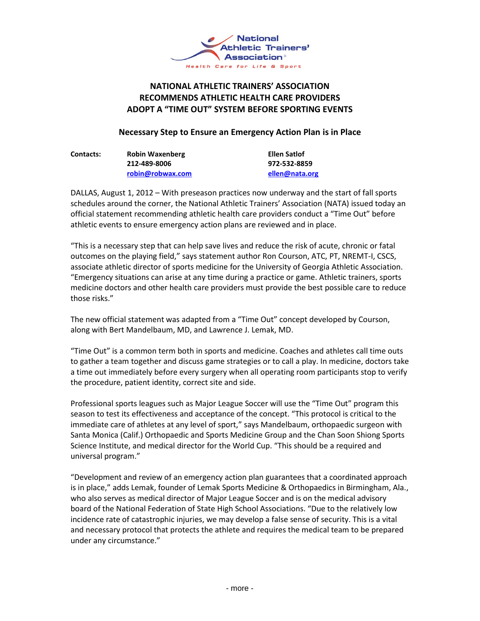

## **NATIONAL ATHLETIC TRAINERS' ASSOCIATION RECOMMENDS ATHLETIC HEALTH CARE PROVIDERS ADOPT A "TIME OUT" SYSTEM BEFORE SPORTING EVENTS**

## **Necessary Step to Ensure an Emergency Action Plan is in Place**

| <b>Contacts:</b> | <b>Robin Waxenberg</b> | Ellen Satlof   |
|------------------|------------------------|----------------|
|                  | 212-489-8006           | 972-532-8859   |
|                  | robin@robwax.com       | ellen@nata.org |

DALLAS, August 1, 2012 – With preseason practices now underway and the start of fall sports schedules around the corner, the National Athletic Trainers' Association (NATA) issued today an official statement recommending athletic health care providers conduct a "Time Out" before athletic events to ensure emergency action plans are reviewed and in place.

"This is a necessary step that can help save lives and reduce the risk of acute, chronic or fatal outcomes on the playing field," says statement author Ron Courson, ATC, PT, NREMT-I, CSCS, associate athletic director of sports medicine for the University of Georgia Athletic Association. "Emergency situations can arise at any time during a practice or game. Athletic trainers, sports medicine doctors and other health care providers must provide the best possible care to reduce those risks."

The new official statement was adapted from a "Time Out" concept developed by Courson, along with Bert Mandelbaum, MD, and Lawrence J. Lemak, MD.

"Time Out" is a common term both in sports and medicine. Coaches and athletes call time outs to gather a team together and discuss game strategies or to call a play. In medicine, doctors take a time out immediately before every surgery when all operating room participants stop to verify the procedure, patient identity, correct site and side.

Professional sports leagues such as Major League Soccer will use the "Time Out" program this season to test its effectiveness and acceptance of the concept. "This protocol is critical to the immediate care of athletes at any level of sport," says Mandelbaum, orthopaedic surgeon with Santa Monica (Calif.) Orthopaedic and Sports Medicine Group and the Chan Soon Shiong Sports Science Institute, and medical director for the World Cup. "This should be a required and universal program."

"Development and review of an emergency action plan guarantees that a coordinated approach is in place," adds Lemak, founder of Lemak Sports Medicine & Orthopaedics in Birmingham, Ala., who also serves as medical director of Major League Soccer and is on the medical advisory board of the National Federation of State High School Associations. "Due to the relatively low incidence rate of catastrophic injuries, we may develop a false sense of security. This is a vital and necessary protocol that protects the athlete and requires the medical team to be prepared under any circumstance."